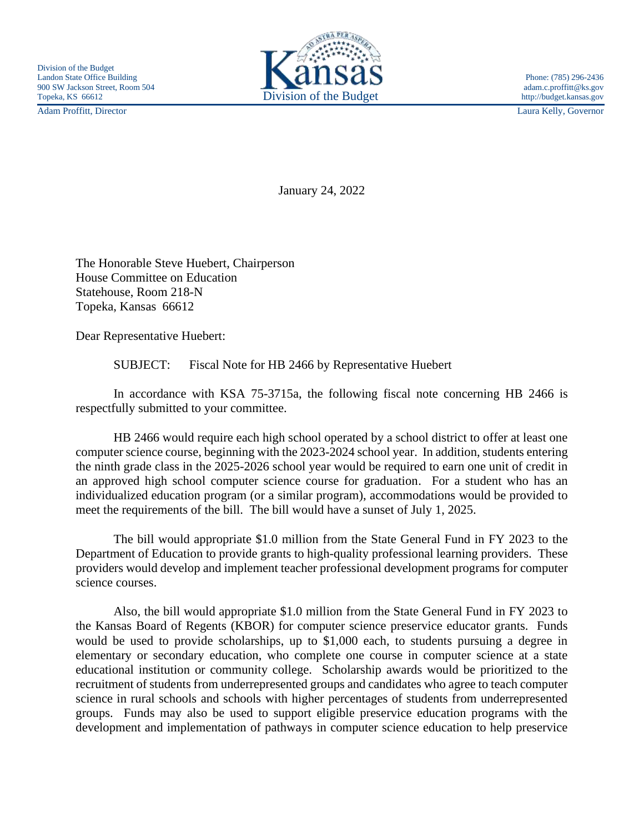Adam Proffitt, Director Laura Kelly, Governor



January 24, 2022

The Honorable Steve Huebert, Chairperson House Committee on Education Statehouse, Room 218-N Topeka, Kansas 66612

Dear Representative Huebert:

SUBJECT: Fiscal Note for HB 2466 by Representative Huebert

In accordance with KSA 75-3715a, the following fiscal note concerning HB 2466 is respectfully submitted to your committee.

HB 2466 would require each high school operated by a school district to offer at least one computer science course, beginning with the 2023-2024 school year. In addition, students entering the ninth grade class in the 2025-2026 school year would be required to earn one unit of credit in an approved high school computer science course for graduation. For a student who has an individualized education program (or a similar program), accommodations would be provided to meet the requirements of the bill. The bill would have a sunset of July 1, 2025.

The bill would appropriate \$1.0 million from the State General Fund in FY 2023 to the Department of Education to provide grants to high-quality professional learning providers. These providers would develop and implement teacher professional development programs for computer science courses.

Also, the bill would appropriate \$1.0 million from the State General Fund in FY 2023 to the Kansas Board of Regents (KBOR) for computer science preservice educator grants. Funds would be used to provide scholarships, up to \$1,000 each, to students pursuing a degree in elementary or secondary education, who complete one course in computer science at a state educational institution or community college. Scholarship awards would be prioritized to the recruitment of students from underrepresented groups and candidates who agree to teach computer science in rural schools and schools with higher percentages of students from underrepresented groups. Funds may also be used to support eligible preservice education programs with the development and implementation of pathways in computer science education to help preservice